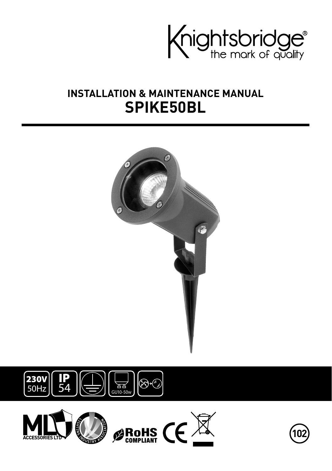

# **INSTALLATION & MAINTENANCE MANUAL SPIKE50BL**







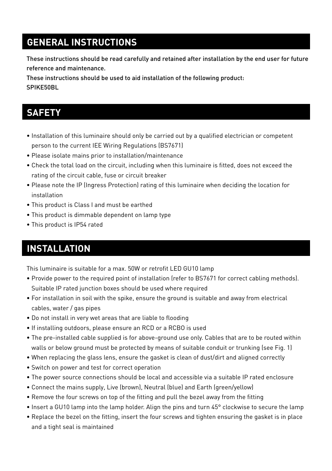# **GENERAL INSTRUCTIONS**

These instructions should be read carefully and retained after installation by the end user for future reference and maintenance.

These instructions should be used to aid installation of the following product: SPIKE50BL

### **SAFETY**

- Installation of this luminaire should only be carried out by a qualified electrician or competent person to the current IEE Wiring Regulations (BS7671)
- Please isolate mains prior to installation/maintenance
- Check the total load on the circuit, including when this luminaire is fitted, does not exceed the rating of the circuit cable, fuse or circuit breaker
- Please note the IP (Ingress Protection) rating of this luminaire when deciding the location for installation
- This product is Class I and must be earthed
- This product is dimmable dependent on lamp type
- This product is IP54 rated

# **INSTALLATION**

This luminaire is suitable for a max. 50W or retrofit LED GU10 lamp

- Provide power to the required point of installation (refer to BS7671 for correct cabling methods). Suitable IP rated junction boxes should be used where required
- For installation in soil with the spike, ensure the ground is suitable and away from electrical cables, water / gas pipes
- Do not install in very wet areas that are liable to flooding
- If installing outdoors, please ensure an RCD or a RCBO is used
- The pre-installed cable supplied is for above-ground use only. Cables that are to be routed within walls or below ground must be protected by means of suitable conduit or trunking (see Fig. 1)
- When replacing the glass lens, ensure the gasket is clean of dust/dirt and aligned correctly
- Switch on power and test for correct operation
- The power source connections should be local and accessible via a suitable IP rated enclosure
- Connect the mains supply, Live (brown), Neutral (blue) and Earth (green/yellow)
- Remove the four screws on top of the fitting and pull the bezel away from the fitting
- Insert a GU10 lamp into the lamp holder. Align the pins and turn 45° clockwise to secure the lamp
- Replace the bezel on the fitting, insert the four screws and tighten ensuring the gasket is in place and a tight seal is maintained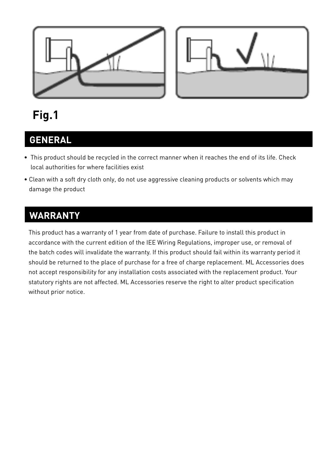



# **Fig.1**

# **GENERAL**

- This product should be recycled in the correct manner when it reaches the end of its life. Check local authorities for where facilities exist
- Clean with a soft dry cloth only, do not use aggressive cleaning products or solvents which may damage the product

## **WARRANTY**

This product has a warranty of 1 year from date of purchase. Failure to install this product in accordance with the current edition of the IEE Wiring Regulations, improper use, or removal of the batch codes will invalidate the warranty. If this product should fail within its warranty period it should be returned to the place of purchase for a free of charge replacement. ML Accessories does not accept responsibility for any installation costs associated with the replacement product. Your statutory rights are not affected. ML Accessories reserve the right to alter product specification without prior notice.